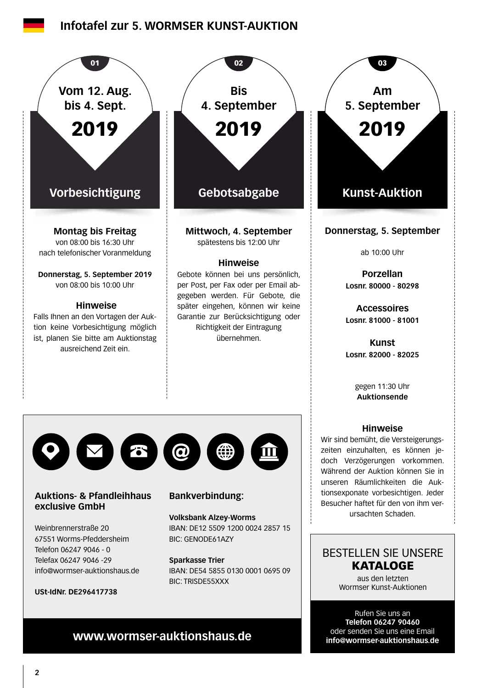## **Infotafel zur 5. WORMSER KUNST-AUKTION**

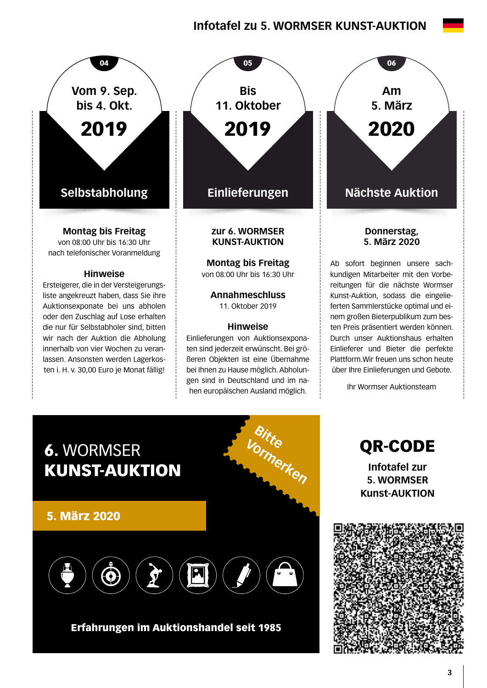# **Infotafel zu 5. WORMSER KUNST-AUKTION**



ten i. H. v. 30,00 Euro je Monat fällig!



**Montag bis Freitag**  von 08:00 Uhr bis 16:30 Uhr

**Annahmeschluss**  11. Oktober 2019

#### **Hinweise**

Einlieferungen von Auktionsexponaten sind jederzeit erwünscht. Bei größeren Objekten ist eine Übernahme bei Ihnen zu Hause möglich. Abholungen sind in Deutschland und im nahen europäischen Ausland möglich.

**Am 5. März** 2020

#### **Donnerstag, 5. März 2020**

Ab sofort beginnen unsere sachkundigen Mitarbeiter mit den Vorbereitungen für die nächste Wormser Kunst-Auktion, sodass die eingelieferten Sammlerstücke optimal und einem großen Bieterpublikum zum besten Preis präsentiert werden können. Durch unser Auktionshaus erhalten Einlieferer und Bieter die perfekte Plattform.Wir freuen uns schon heute über Ihre Einlieferungen und Gebote.

Ihr Wormser Auktionsteam



## Erfahrungen im Auktionshandel seit 1985

QR-CODE **Infotafel zur 5. WORMSER Kunst-AUKTION**

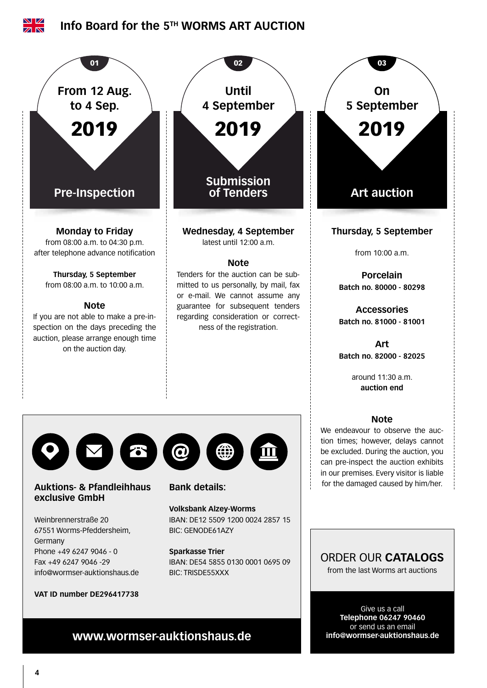

or send us an email **info@wormser-auktionshaus.de**

**www.wormser-auktionshaus.de**